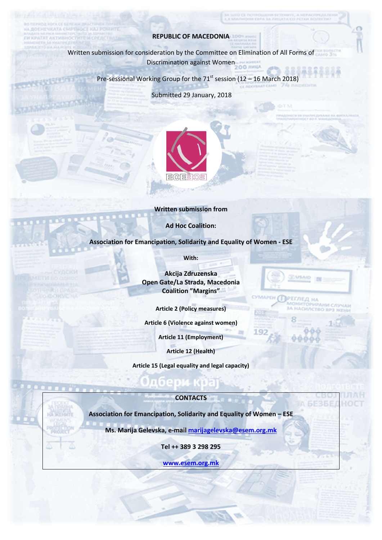## **REPUBLIC OF MACEDONIA**

**FHENIGATA CHIPTIES ATAT AKTHE** 

> Written submission for consideration by the Committee on Elimination of limination of All Forms of Discrimination against Women

ice notifolienn beternte, a hefacofeala<br>Diona espa da Afilata co petru Boascen

**LUSA** 

РЕГЛЕД НА

**MAPEH 6** 

Pre-sessional Working Group for the  $71<sup>st</sup>$  session (12 – 16 March 2018)

Submitted 29 January, 2018



#### **Written submission from**

**Ad Hoc Coalition:**

**Association for Emancipation, Solidarity and Equality of Women - ESE** 

**With:**

**Akcija Zdruzenska Open Gate/La Strada, Macedonia Coalition "Margins"**

**Article 2 (Policy measures)**

**Article 6 (Violence against women)**

**Article 11 (Employment)**

**Article 12 (Health)**

**Article 15 ( (Legal equality and legal capacity)**

## **CONTACTS**

**Association for Emancipation, Solidarity and Equality of Women – ESE**

**Ms. Marija Gelevska, e-mail marijagelevska@esem.org.mk .mk**

**Tel ++ 389 3 298 295**

**www.esem.org.mk**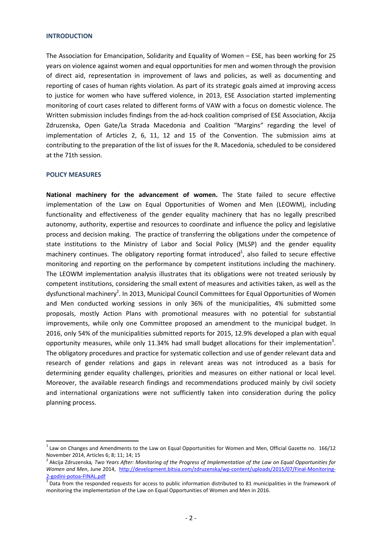#### **INTRODUCTION**

The Association for Emancipation, Solidarity and Equality of Women – ESE, has been working for 25 years on violence against women and equal opportunities for men and women through the provision of direct aid, representation in improvement of laws and policies, as well as documenting and reporting of cases of human rights violation. As part of its strategic goals aimed at improving access to justice for women who have suffered violence, in 2013, ESE Association started implementing monitoring of court cases related to different forms of VAW with a focus on domestic violence. The Written submission includes findings from the ad-hock coalition comprised of ESE Association, Akcija Zdruzenska, Open Gate/La Strada Macedonia and Coalition "Margins" regarding the level of implementation of Articles 2, 6, 11, 12 and 15 of the Convention. The submission aims at contributing to the preparation of the list of issues for the R. Macedonia, scheduled to be considered at the 71th session.

### **POLICY MEASURES**

**National machinery for the advancement of women.** The State failed to secure effective implementation of the Law on Equal Opportunities of Women and Men (LEOWM), including functionality and effectiveness of the gender equality machinery that has no legally prescribed autonomy, authority, expertise and resources to coordinate and influence the policy and legislative process and decision making. The practice of transferring the obligations under the competence of state institutions to the Ministry of Labor and Social Policy (MLSP) and the gender equality machinery continues. The obligatory reporting format introduced<sup>1</sup>, also failed to secure effective monitoring and reporting on the performance by competent institutions including the machinery. The LEOWM implementation analysis illustrates that its obligations were not treated seriously by competent institutions, considering the small extent of measures and activities taken, as well as the dysfunctional machinery<sup>2</sup>. In 2013, Municipal Council Committees for Equal Opportunities of Women and Men conducted working sessions in only 36% of the municipalities, 4% submitted some proposals, mostly Action Plans with promotional measures with no potential for substantial improvements, while only one Committee proposed an amendment to the municipal budget. In 2016, only 54% of the municipalities submitted reports for 2015, 12.9% developed a plan with equal opportunity measures, while only 11.34% had small budget allocations for their implementation<sup>3</sup>. The obligatory procedures and practice for systematic collection and use of gender relevant data and research of gender relations and gaps in relevant areas was not introduced as a basis for determining gender equality challenges, priorities and measures on either national or local level. Moreover, the available research findings and recommendations produced mainly by civil society and international organizations were not sufficiently taken into consideration during the policy planning process.

 $1$  Law on Changes and Amendments to the Law on Equal Opportunities for Women and Men, Official Gazette no. 166/12 November 2014, Articles 6; 8; 11; 14; 15

<sup>2</sup> Akcija Zdruzenska*, Two Years After: Monitoring of the Progress of Implementation of the Law on Equal Opportunities for Women and Men*, June 2014, http://development.bitsia.com/zdruzenska/wp-content/uploads/2015/07/Final-Monitoring-

<sup>2-</sup>godini-potoa-FINAL.pdf<br><sup>3</sup> Data from the responded requests for access to public information distributed to 81 municipalities in the framework of monitoring the implementation of the Law on Equal Opportunities of Women and Men in 2016.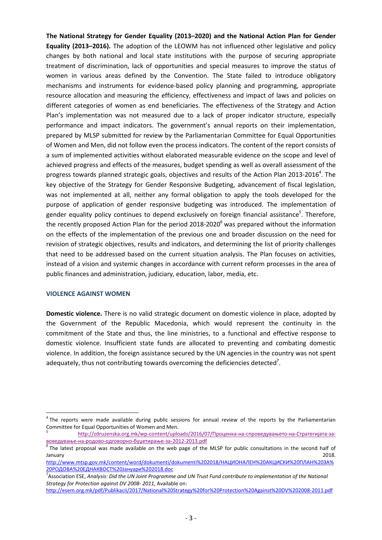**The National Strategy for Gender Equality (2013–2020) and the National Action Plan for Gender Equality (2013–2016).** The adoption of the LEOWM has not influenced other legislative and policy changes by both national and local state institutions with the purpose of securing appropriate treatment of discrimination, lack of opportunities and special measures to improve the status of women in various areas defined by the Convention. The State failed to introduce obligatory mechanisms and instruments for evidence-based policy planning and programming, appropriate resource allocation and measuring the efficiency, effectiveness and impact of laws and policies on different categories of women as end beneficiaries. The effectiveness of the Strategy and Action Plan's implementation was not measured due to a lack of proper indicator structure, especially performance and impact indicators. The government's annual reports on their implementation, prepared by MLSP submitted for review by the Parliamentarian Committee for Equal Opportunities of Women and Men, did not follow even the process indicators. The content of the report consists of a sum of implemented activities without elaborated measurable evidence on the scope and level of achieved progress and effects of the measures, budget spending as well as overall assessment of the progress towards planned strategic goals, objectives and results of the Action Plan 2013-2016<sup>4</sup>. The key objective of the Strategy for Gender Responsive Budgeting, advancement of fiscal legislation, was not implemented at all, neither any formal obligation to apply the tools developed for the purpose of application of gender responsive budgeting was introduced. The implementation of gender equality policy continues to depend exclusively on foreign financial assistance<sup>5</sup>. Therefore, the recently proposed Action Plan for the period  $2018-2020^6$  was prepared without the information on the effects of the implementation of the previous one and broader discussion on the need for revision of strategic objectives, results and indicators, and determining the list of priority challenges that need to be addressed based on the current situation analysis. The Plan focuses on activities, instead of a vision and systemic changes in accordance with current reform processes in the area of public finances and administration, judiciary, education, labor, media, etc.

# **VIOLENCE AGAINST WOMEN**

**Domestic violence.** There is no valid strategic document on domestic violence in place, adopted by the Government of the Republic Macedonia, which would represent the continuity in the commitment of the State and thus, the line ministries, to a functional and effective response to domestic violence. Insufficient state funds are allocated to preventing and combating domestic violence. In addition, the foreign assistance secured by the UN agencies in the country was not spent adequately, thus not contributing towards overcoming the deficiencies detected<sup>7</sup>.

<sup>&</sup>lt;sup>4</sup> The reports were made available during public sessions for annual review of the reports by the Parliamentarian Committee for Equal Opportunities of Women and Men.

<sup>5</sup> http://zdruzenska.org.mk/wp-content/uploads/2016/07/Проценка-на-спроведувањето-на-Стратегијата-завоведување-на-родово-одговорно-буџетирање-за-2012-2013.pdf<br><sup>6</sup> The latest proposal was made available on the web page of the MLSP for public consultations in the second half of

January 2018.

http://www.mtsp.gov.mk/content/word/dokumenti/dokumenti%202018/НАЦИОНАЛЕН%20АКЦИСКИ%20ПЛАН%20ЗА% 20РОДОВА%20ЕДНАКВОСТ%20Јануари%202018.doc

<sup>7</sup> Association ESE, *Analysis: Did the UN Joint Programme and UN Trust Fund contribute to implementation of the National Strategy for Protection against DV 2008- 2011,* Available on:

http://esem.org.mk/pdf/Publikacii/2017/National%20Strategy%20for%20Protection%20Against%20DV%202008-2011.pdf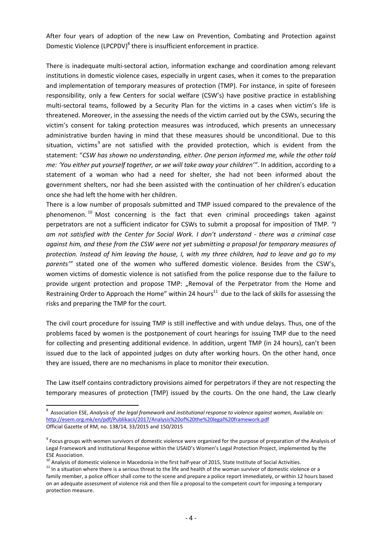After four years of adoption of the new Law on Prevention, Combating and Protection against Domestic Violence (LPCPDV)<sup>8</sup> there is insufficient enforcement in practice.

There is inadequate multi-sectoral action, information exchange and coordination among relevant institutions in domestic violence cases, especially in urgent cases, when it comes to the preparation and implementation of temporary measures of protection (TMP). For instance, in spite of foreseen responsibility, only a few Centers for social welfare (CSW's) have positive practice in establishing multi-sectoral teams, followed by a Security Plan for the victims in a cases when victim's life is threatened. Moreover, in the assessing the needs of the victim carried out by the CSWs, securing the victim's consent for taking protection measures was introduced, which presents an unnecessary administrative burden having in mind that these measures should be unconditional. Due to this situation, victims<sup>9</sup> are not satisfied with the provided protection, which is evident from the statement: "*CSW has shown no understanding, either. One person informed me, while the other told me: 'You either put yourself together, or we will take away your children'"*. In addition, according to a statement of a woman who had a need for shelter, she had not been informed about the government shelters, nor had she been assisted with the continuation of her children's education once she had left the home with her children.

There is a low number of proposals submitted and TMP issued compared to the prevalence of the phenomenon.<sup>10</sup> Most concerning is the fact that even criminal proceedings taken against perpetrators are not a sufficient indicator for CSWs to submit a proposal for imposition of TMP. *"I am not satisfied with the Center for Social Work. I don't understand - there was a criminal case against him, and these from the CSW were not yet submitting a proposal for temporary measures of protection. Instead of him leaving the house, I, with my three children, had to leave and go to my parents'"* stated one of the women who suffered domestic violence. Besides from the CSW's, women victims of domestic violence is not satisfied from the police response due to the failure to provide urgent protection and propose TMP: "Removal of the Perpetrator from the Home and Restraining Order to Approach the Home" within 24 hours $^{11}$  due to the lack of skills for assessing the risks and preparing the TMP for the court.

The civil court procedure for issuing TMP is still ineffective and with undue delays. Thus, one of the problems faced by women is the postponement of court hearings for issuing TMP due to the need for collecting and presenting additional evidence. In addition, urgent TMP (in 24 hours), can't been issued due to the lack of appointed judges on duty after working hours. On the other hand, once they are issued, there are no mechanisms in place to monitor their execution.

The Law itself contains contradictory provisions aimed for perpetrators if they are not respecting the temporary measures of protection (TMP) issued by the courts. On the one hand, the Law clearly

<sup>&</sup>lt;sup>8</sup> Association ESE, Analysis of the legal framework and institutional response to violence against women, Available on: http://esem.org.mk/en/pdf/Publikacii/2017/Analysis%20of%20the%20legal%20framework.pdf Official Gazette of RM, no. 138/14, 33/2015 and 150/2015

<sup>&</sup>lt;sup>9</sup> Focus groups with women survivors of domestic violence were organized for the purpose of preparation of the Analysis of Legal Framework and Institutional Response within the USAID's Women's Legal Protection Project, implemented by the

ESE Association.<br><sup>10</sup> Analysis of domestic violence in Macedonia in the first half-year of 2015, State Institute of Social Activities.

<sup>&</sup>lt;sup>11</sup> In a situation where there is a serious threat to the life and health of the woman survivor of domestic violence or a family member, a police officer shall come to the scene and prepare a police report immediately, or within 12 hours based on an adequate assessment of violence risk and then file a proposal to the competent court for imposing a temporary protection measure.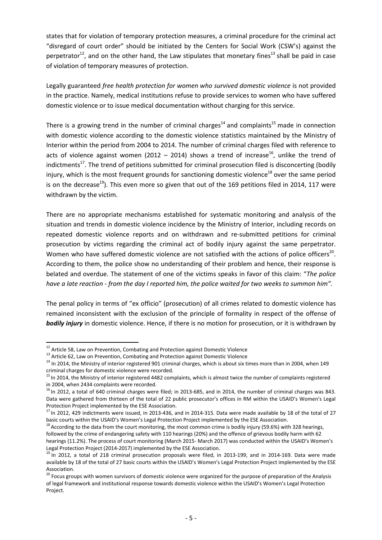states that for violation of temporary protection measures, a criminal procedure for the criminal act "disregard of court order" should be initiated by the Centers for Social Work (CSW's) against the perpetrator<sup>12</sup>, and on the other hand, the Law stipulates that monetary fines<sup>13</sup> shall be paid in case of violation of temporary measures of protection.

Legally guaranteed *free health protection for women who survived domestic violence* is not provided in the practice. Namely, medical institutions refuse to provide services to women who have suffered domestic violence or to issue medical documentation without charging for this service.

There is a growing trend in the number of criminal charges<sup>14</sup> and complaints<sup>15</sup> made in connection with domestic violence according to the domestic violence statistics maintained by the Ministry of Interior within the period from 2004 to 2014. The number of criminal charges filed with reference to acts of violence against women (2012 – 2014) shows a trend of increase<sup>16</sup>, unlike the trend of indictments<sup>17</sup>. The trend of petitions submitted for criminal prosecution filed is disconcerting (bodily injury, which is the most frequent grounds for sanctioning domestic violence<sup>18</sup> over the same period is on the decrease<sup>19</sup>). This even more so given that out of the 169 petitions filed in 2014, 117 were withdrawn by the victim.

There are no appropriate mechanisms established for systematic monitoring and analysis of the situation and trends in domestic violence incidence by the Ministry of Interior, including records on repeated domestic violence reports and on withdrawn and re-submitted petitions for criminal prosecution by victims regarding the criminal act of bodily injury against the same perpetrator. Women who have suffered domestic violence are not satisfied with the actions of police officers<sup>20</sup>. According to them, the police show no understanding of their problem and hence, their response is belated and overdue. The statement of one of the victims speaks in favor of this claim: "*The police have a late reaction - from the day I reported him, the police waited for two weeks to summon him".* 

The penal policy in terms of "ex officio" (prosecution) of all crimes related to domestic violence has remained inconsistent with the exclusion of the principle of formality in respect of the offense of *bodily injury* in domestic violence. Hence, if there is no motion for prosecution, or it is withdrawn by

<sup>&</sup>lt;sup>12</sup> Article 58, Law on Prevention, Combating and Protection against Domestic Violence<br><sup>13</sup> Article 62, Law on Prevention, Combating and Protection against Domestic Violence<br><sup>14</sup> In 2014, the Ministry of interior register criminal charges for domestic violence were recorded.

<sup>&</sup>lt;sup>15</sup> In 2014, the Ministry of interior registered 4482 complaints, which is almost twice the number of complaints registered in 2004, when 2434 complaints were recorded.

 $16$  In 2012, a total of 640 criminal charges were filed; in 2013-685, and in 2014, the number of criminal charges was 843. Data were gathered from thirteen of the total of 22 public prosecutor's offices in RM within the USAID's Women's Legal Protection Project implemented by the ESE Association.<br><sup>17</sup> In 2012, 429 indictments were issued, in 2013-436, and in 2014-315. Data were made available by 18 of the total of 27

basic courts within the USAID's Women's Legal Protection Project implemented by the ESE Association.<br><sup>18</sup> According to the data from the court monitoring, the most common crime is bodily injury (59.6%) with 328 hearings,

followed by the crime of endangering safety with 110 hearings (20%) and the offence of grievous bodily harm with 62 hearings (11.2%). The process of court monitoring (March 2015- March 2017) was conducted within the USAID's Women's Legal Protection Project (2014-2017) implemented by the ESE Association.<br><sup>19</sup> In 2012, a total of 218 criminal prosecution proposals were filed, in 2013-199, and in 2014-169. Data were made

available by 18 of the total of 27 basic courts within the USAID's Women's Legal Protection Project implemented by the ESE

Association.<br><sup>20</sup> Focus groups with women survivors of domestic violence were organized for the purpose of preparation of the Analysis of legal framework and institutional response towards domestic violence within the USAID's Women's Legal Protection Project.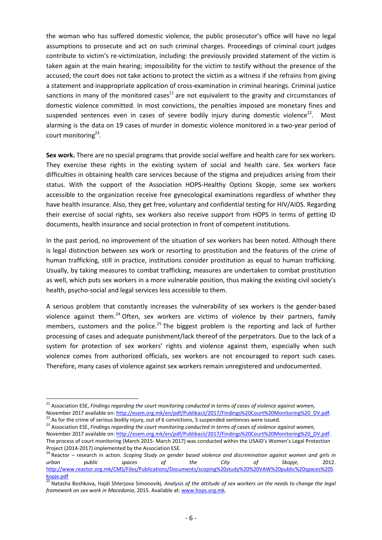the woman who has suffered domestic violence, the public prosecutor's office will have no legal assumptions to prosecute and act on such criminal charges. Proceedings of criminal court judges contribute to victim's re-victimization, including: the previously provided statement of the victim is taken again at the main hearing; impossibility for the victim to testify without the presence of the accused; the court does not take actions to protect the victim as a witness if she refrains from giving a statement and inappropriate application of cross-examination in criminal hearings. Criminal justice sanctions in many of the monitored cases<sup>21</sup> are not equivalent to the gravity and circumstances of domestic violence committed. In most convictions, the penalties imposed are monetary fines and suspended sentences even in cases of severe bodily injury during domestic violence<sup>22</sup>. Most alarming is the data on 19 cases of murder in domestic violence monitored in a two-year period of court monitoring<sup>23</sup>.

**Sex work.** There are no special programs that provide social welfare and health care for sex workers. They exercise these rights in the existing system of social and health care. Sex workers face difficulties in obtaining health care services because of the stigma and prejudices arising from their status. With the support of the Association HOPS-Healthy Options Skopje, some sex workers accessible to the organization receive free gynecological examinations regardless of whether they have health insurance. Also, they get free, voluntary and confidential testing for HIV/AIDS. Regarding their exercise of social rights, sex workers also receive support from HOPS in terms of getting ID documents, health insurance and social protection in front of competent institutions.

In the past period, no improvement of the situation of sex workers has been noted. Although there is legal distinction between sex work or resorting to prostitution and the features of the crime of human trafficking, still in practice, institutions consider prostitution as equal to human trafficking. Usually, by taking measures to combat trafficking, measures are undertaken to combat prostitution as well, which puts sex workers in a more vulnerable position, thus making the existing civil society's health, psycho-social and legal services less accessible to them.

A serious problem that constantly increases the vulnerability of sex workers is the gender-based violence against them.<sup>24</sup> Often, sex workers are victims of violence by their partners, family members, customers and the police.<sup>25</sup> The biggest problem is the reporting and lack of further processing of cases and adequate punishment/lack thereof of the perpetrators. Due to the lack of a system for protection of sex workers' rights and violence against them, especially when such violence comes from authorized officials, sex workers are not encouraged to report such cases. Therefore, many cases of violence against sex workers remain unregistered and undocumented.

 <sup>21</sup> Association ESE, *Findings regarding the court monitoring conducted in terms of cases of violence against women,* November 2017 available on: http://esem.org.mk/en/pdf/Publikacii/2017/Findings%20Court%20Monitoring%20 DV.pdf.<br><sup>22</sup> As for the crime of serious bodily injury, out of 6 convictions, 5 suspended sentences were issued.<br><sup>23</sup> A

November 2017 available on: http://esem.org.mk/en/pdf/Publikacii/2017/Findings%20Court%20Monitoring%20\_DV.pdf. The process of court monitoring (March 2015- March 2017) was conducted within the USAID's Women's Legal Protection

Project (2014-2017) implemented by the Association ESE.<br><sup>24</sup> Reactor – research in action. *Scoping Study on gender based violence and discrimination against women and girls in urban public spaces of the City of Skopje*, 2012. http://www.reactor.org.mk/CMS/Files/Publications/Documents/scoping%20study%20%20VAW%20public%20spaces%20S kopje.pdf

<sup>25</sup> Natasha Boshkova, Hajdi Shterjova Simonovikj. *Analysis of the attitude of sex workers on the needs to change the legal framework on sex work in Macedonia*, 2015. Available at: www.hops.org.mk.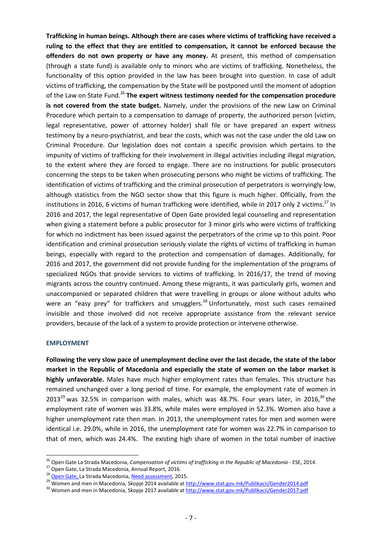**Trafficking in human beings. Although there are cases where victims of trafficking have received a ruling to the effect that they are entitled to compensation, it cannot be enforced because the offenders do not own property or have any money.** At present, this method of compensation (through a state fund) is available only to minors who are victims of trafficking. Nonetheless, the functionality of this option provided in the law has been brought into question. In case of adult victims of trafficking, the compensation by the State will be postponed until the moment of adoption of the Law on State Fund. <sup>26</sup> **The expert witness testimony needed for the compensation procedure is not covered from the state budget.** Namely, under the provisions of the new Law on Criminal Procedure which pertain to a compensation to damage of property, the authorized person (victim, legal representative, power of attorney holder) shall file or have prepared an expert witness testimony by a neuro-psychiatrist, and bear the costs, which was not the case under the old Law on Criminal Procedure. Our legislation does not contain a specific provision which pertains to the impunity of victims of trafficking for their involvement in illegal activities including illegal migration, to the extent where they are forced to engage. There are no instructions for public prosecutors concerning the steps to be taken when prosecuting persons who might be victims of trafficking. The identification of victims of trafficking and the criminal prosecution of perpetrators is worryingly low, although statistics from the NGO sector show that this figure is much higher. Officially, from the institutions in 2016, 6 victims of human trafficking were identified, while in 2017 only 2 victims.<sup>27</sup> In 2016 and 2017, the legal representative of Open Gate provided legal counseling and representation when giving a statement before a public prosecutor for 3 minor girls who were victims of trafficking for which no indictment has been issued against the perpetrators of the crime up to this point. Poor identification and criminal prosecution seriously violate the rights of victims of trafficking in human beings, especially with regard to the protection and compensation of damages. Additionally, for 2016 and 2017, the government did not provide funding for the implementation of the programs of specialized NGOs that provide services to victims of trafficking. In 2016/17, the trend of moving migrants across the country continued. Among these migrants, it was particularly girls, women and unaccompanied or separated children that were travelling in groups or alone without adults who were an "easy prey" for traffickers and smugglers.<sup>28</sup> Unfortunately, most such cases remained invisible and those involved did not receive appropriate assistance from the relevant service providers, because of the lack of a system to provide protection or intervene otherwise.

## **EMPLOYMENT**

**Following the very slow pace of unemployment decline over the last decade, the state of the labor market in the Republic of Macedonia and especially the state of women on the labor market is highly unfavorable.** Males have much higher employment rates than females. This structure has remained unchanged over a long period of time. For example, the employment rate of women in 2013<sup>29</sup> was 32.5% in comparison with males, which was 48.7%. Four years later, in 2016,<sup>30</sup> the employment rate of women was 33.8%, while males were employed in 52.3%. Women also have a higher unemployment rate then man. In 2013, the unemployment rates for men and women were identical i.e. 29.0%, while in 2016, the unemployment rate for women was 22.7% in comparison to that of men, which was 24.4%. The existing high share of women in the total number of inactive

<sup>&</sup>lt;sup>26</sup> Open Gate La Strada Macedonia, *Compensation of victims of trafficking in the Republic of Macedonia* - ESE, 2014.<br><sup>27</sup> Open Gate, La Strada Macedonia, Annual Report, 2016.<br><sup>28</sup> <u>Open Gate,</u> La Strada Macedonia, <u>Need </u>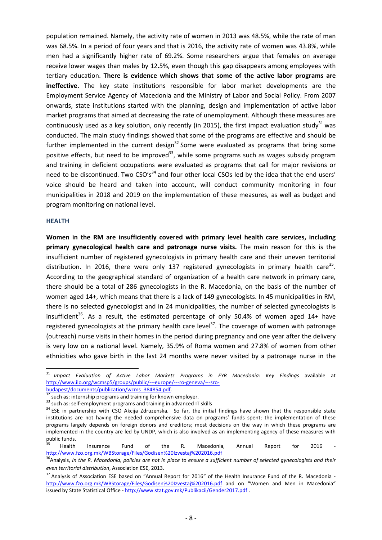population remained. Namely, the activity rate of women in 2013 was 48.5%, while the rate of man was 68.5%. In a period of four years and that is 2016, the activity rate of women was 43.8%, while men had a significantly higher rate of 69.2%. Some researchers argue that females on average receive lower wages than males by 12.5%, even though this gap disappears among employees with tertiary education. **There is evidence which shows that some of the active labor programs are ineffective.** The key state institutions responsible for labor market developments are the Employment Service Agency of Macedonia and the Ministry of Labor and Social Policy. From 2007 onwards, state institutions started with the planning, design and implementation of active labor market programs that aimed at decreasing the rate of unemployment. Although these measures are continuously used as a key solution, only recently (in 2015), the first impact evaluation study<sup>31</sup> was conducted. The main study findings showed that some of the programs are effective and should be further implemented in the current design<sup>32</sup> Some were evaluated as programs that bring some positive effects, but need to be improved<sup>33</sup>, while some programs such as wages subsidy program and training in deficient occupations were evaluated as programs that call for major revisions or need to be discontinued. Two CSO's<sup>34</sup> and four other local CSOs led by the idea that the end users' voice should be heard and taken into account, will conduct community monitoring in four municipalities in 2018 and 2019 on the implementation of these measures, as well as budget and program monitoring on national level.

#### **HEALTH**

**Women in the RM are insufficiently covered with primary level health care services, including primary gynecological health care and patronage nurse visits.** The main reason for this is the insufficient number of registered gynecologists in primary health care and their uneven territorial distribution. In 2016, there were only 137 registered gynecologists in primary health care<sup>35</sup>. According to the geographical standard of organization of a health care network in primary care, there should be a total of 286 gynecologists in the R. Macedonia, on the basis of the number of women aged 14+, which means that there is a lack of 149 gynecologists. In 45 municipalities in RM, there is no selected gynecologist and in 24 municipalities, the number of selected gynecologists is insufficient<sup>36</sup>. As a result, the estimated percentage of only 50.4% of women aged 14+ have registered gynecologists at the primary health care level<sup>37</sup>. The coverage of women with patronage (outreach) nurse visits in their homes in the period during pregnancy and one year after the delivery is very low on a national level. Namely, 35.9% of Roma women and 27.8% of women from other ethnicities who gave birth in the last 24 months were never visited by a patronage nurse in the

<sup>&</sup>lt;sup>31</sup> Impact Evaluation of Active Labor Markets Programs in FYR Macedonia: Key Findings available at http://www.ilo.org/wcmsp5/groups/public/---europe/---ro-geneva/---sro-<br>budapest/documents/publication/wcms 384854.pdf.

 $\frac{32}{32}$  such as: internship programs and training for known employer.<br>  $\frac{33}{34}$  such as: self-employment programs and training in advanced IT skills<br>  $\frac{34}{34}$  ESE in partnership with CSO Akcija Zdruzenska. So fa institutions are not having the needed comprehensive data on programs' funds spent; the implementation of these programs largely depends on foreign donors and creditors; most decisions on the way in which these programs are implemented in the country are led by UNDP, which is also involved as an implementing agency of these measures with public funds.

<sup>&</sup>lt;sup>35</sup> Health Insurance Fund of the R. Macedonia, Annual Report for 2016 http://www.fzo.org.mk/WBStorage/Files/Godisen%20Izvestaj%202016.pdf

<sup>&</sup>lt;sup>36</sup>Analysis, *In the R. Macedonia, policies are not in place to ensure a sufficient number of selected gynecologists and their even territorial distribution*, Association ESE, 2013.

<sup>&</sup>lt;sup>37</sup> Analysis of Association ESE based on "Annual Report for 2016" of the Health Insurance Fund of the R. Macedonia http://www.fzo.org.mk/WBStorage/Files/Godisen%20Izvestaj%202016.pdf and on "Women and Men in Macedonia" issued by State Statistical Office - http://www.stat.gov.mk/Publikacii/Gender2017.pdf.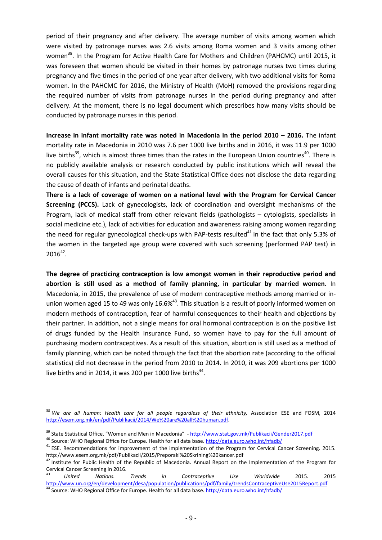period of their pregnancy and after delivery. The average number of visits among women which were visited by patronage nurses was 2.6 visits among Roma women and 3 visits among other women<sup>38</sup>. In the Program for Active Health Care for Mothers and Children (PAHCMC) until 2015, it was foreseen that women should be visited in their homes by patronage nurses two times during pregnancy and five times in the period of one year after delivery, with two additional visits for Roma women. In the PAHCMC for 2016, the Ministry of Health (MoH) removed the provisions regarding the required number of visits from patronage nurses in the period during pregnancy and after delivery. At the moment, there is no legal document which prescribes how many visits should be conducted by patronage nurses in this period.

**Increase in infant mortality rate was noted in Macedonia in the period 2010 – 2016.** The infant mortality rate in Macedonia in 2010 was 7.6 per 1000 live births and in 2016, it was 11.9 per 1000 live births<sup>39</sup>, which is almost three times than the rates in the European Union countries<sup>40</sup>. There is no publicly available analysis or research conducted by public institutions which will reveal the overall causes for this situation, and the State Statistical Office does not disclose the data regarding the cause of death of infants and perinatal deaths.

**There is a lack of coverage of women on a national level with the Program for Cervical Cancer Screening (PCCS).** Lack of gynecologists, lack of coordination and oversight mechanisms of the Program, lack of medical staff from other relevant fields (pathologists – cytologists, specialists in social medicine etc.), lack of activities for education and awareness raising among women regarding the need for regular gynecological check-ups with PAP-tests resulted $^{41}$  in the fact that only 5.3% of the women in the targeted age group were covered with such screening (performed PAP test) in  $2016^{42}$ .

**The degree of practicing contraception is low amongst women in their reproductive period and abortion is still used as a method of family planning, in particular by married women.** In Macedonia, in 2015, the prevalence of use of modern contraceptive methods among married or inunion women aged 15 to 49 was only 16.6%<sup>43</sup>. This situation is a result of poorly informed women on modern methods of contraception, fear of harmful consequences to their health and objections by their partner. In addition, not a single means for oral hormonal contraception is on the positive list of drugs funded by the Health Insurance Fund, so women have to pay for the full amount of purchasing modern contraceptives. As a result of this situation, abortion is still used as a method of family planning, which can be noted through the fact that the abortion rate (according to the official statistics) did not decrease in the period from 2010 to 2014. In 2010, it was 209 abortions per 1000 live births and in 2014, it was 200 per 1000 live births<sup>44</sup>.

 <sup>38</sup> *We are all human: Health care for all people regardless of their ethnicity,* Association ESE and FOSM, 2014 http://esem.org.mk/en/pdf/Publikacii/2014/We%20are%20all%20human.pdf.

<sup>&</sup>lt;sup>39</sup> State Statistical Office. "Women and Men in Macedonia" - http://www.stat.gov.mk/Publikacii/Gender2017.pdf<br><sup>40</sup> Source: WHO Regional Office for Europe. Health for all data base. http://data.euro.who.int/hfadb/<br><sup>41</sup> ES

http://www.esem.org.mk/pdf/Publikacii/2015/Preporaki%20Skrining%20kancer.pdf<br><sup>42</sup> Institute for Public Health of the Republic of Macedonia. Annual Report on the Implementation of the Program for

Cervical Cancer Screening in 2016. <sup>43</sup> *United Nations. Trends in Contraceptive Use Worldwide* 2015. 2015

http://www.un.org/en/development/desa/population/publications/pdf/family/trendsContraceptiveUse2015Report.pdf <sup>44</sup> Source: WHO Regional Office for Europe. Health for all data base. http://data.euro.who.int/hfadb/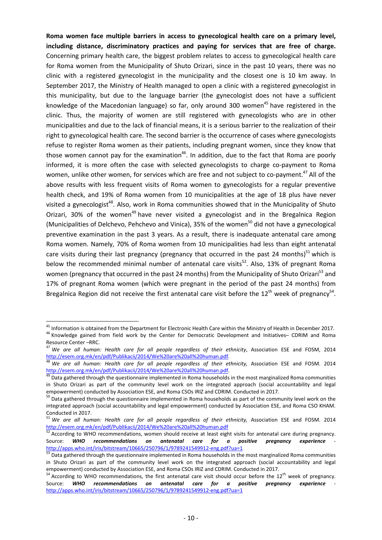**Roma women face multiple barriers in access to gynecological health care on a primary level, including distance, discriminatory practices and paying for services that are free of charge.**  Concerning primary health care, the biggest problem relates to access to gynecological health care for Roma women from the Municipality of Shuto Orizari, since in the past 10 years, there was no clinic with a registered gynecologist in the municipality and the closest one is 10 km away. In September 2017, the Ministry of Health managed to open a clinic with a registered gynecologist in this municipality, but due to the language barrier (the gynecologist does not have a sufficient knowledge of the Macedonian language) so far, only around 300 women<sup>45</sup> have registered in the clinic. Thus, the majority of women are still registered with gynecologists who are in other municipalities and due to the lack of financial means, it is a serious barrier to the realization of their right to gynecological health care. The second barrier is the occurrence of cases where gynecologists refuse to register Roma women as their patients, including pregnant women, since they know that those women cannot pay for the examination<sup>46</sup>. In addition, due to the fact that Roma are poorly informed, it is more often the case with selected gynecologists to charge co-payment to Roma women, unlike other women, for services which are free and not subject to co-payment.<sup>47</sup> All of the above results with less frequent visits of Roma women to gynecologists for a regular preventive health check, and 19% of Roma women from 10 municipalities at the age of 18 plus have never visited a gynecologist<sup>48</sup>. Also, work in Roma communities showed that in the Municipality of Shuto Orizari, 30% of the women<sup>49</sup> have never visited a gynecologist and in the Bregalnica Region (Municipalities of Delchevo, Pehchevo and Vinica), 35% of the women<sup>50</sup> did not have a gynecological preventive examination in the past 3 years. As a result, there is inadequate antenatal care among Roma women. Namely, 70% of Roma women from 10 municipalities had less than eight antenatal care visits during their last pregnancy (pregnancy that occurred in the past 24 months)<sup>51</sup> which is below the recommended minimal number of antenatal care visits<sup>52</sup>. Also, 13% of pregnant Roma women (pregnancy that occurred in the past 24 months) from the Municipality of Shuto Orizari<sup>53</sup> and 17% of pregnant Roma women (which were pregnant in the period of the past 24 months) from Bregalnica Region did not receive the first antenatal care visit before the  $12<sup>th</sup>$  week of pregnancy<sup>54</sup>.

 $^{45}$  Information is obtained from the Department for Electronic Health Care within the Ministry of Health in December 2017.<br><sup>46</sup> Knowledge gained from field work by the Center for Democratic Development and Initiatives-

Resource Center –RRC.<br><sup>47</sup> *We are all human: Health care for all people regardless of their ethnicity*, Association ESE and FOSM, 2014

http://esem.org.mk/en/pdf/Publikacii/2014/We%20are%20all%20human.pdf. <sup>48</sup> *We are all human: Health care for all people regardless of their ethnicity,* Association ESE and FOSM. 2014 http://esem.org.mk/en/pdf/Publikacii/2014/We%20are%20all%20human.pdf.<br><sup>49</sup> Data gathered through the questionnaire implemented in Roma households in the most marginalized Roma communities

in Shuto Orizari as part of the community level work on the integrated approach (social accountability and legal empowerment) conducted by Association ESE, and Roma CSOs IRIZ and CDRIM. Conducted in 2017.

 $50$  Data gathered through the questionnaire implemented in Roma households as part of the community level work on the integrated approach (social accountability and legal empowerment) conducted by Association ESE, and Roma CSO KHAM. Conducted in 2017.

<sup>51</sup> *We are all human: Health care for all people regardless of their ethnicity,* Association ESE and FOSM. 2014 http://esem.org.mk/en/pdf/Publikacii/2014/We%20are%20all%20human.pdf

<sup>52</sup> According to WHO recommendations, women should receive at least eight visits for antenatal care during pregnancy. Source: WHO recommendations on antenatal care for a positive pregnancy experience

http://apps.who.int/iris/bitstream/10665/250796/1/9789241549912-eng.pdf?ua=1<br><sup>53</sup> Data gathered through the questionnaire implemented in Roma households in the most marginalized Roma communities in Shuto Orizari as part of the community level work on the integrated approach (social accountability and legal empowerment) conducted by Association ESE, and Roma CSOs IRIZ and CDRIM. Conducted in 2017.

<sup>&</sup>lt;sup>54</sup> According to WHO recommendations, the first antenatal care visit should occur before the 12<sup>th</sup> week of pregnancy. Source: WHO recommendations on antenatal care for a positive pregnancy experience http://apps.who.int/iris/bitstream/10665/250796/1/9789241549912-eng.pdf?ua=1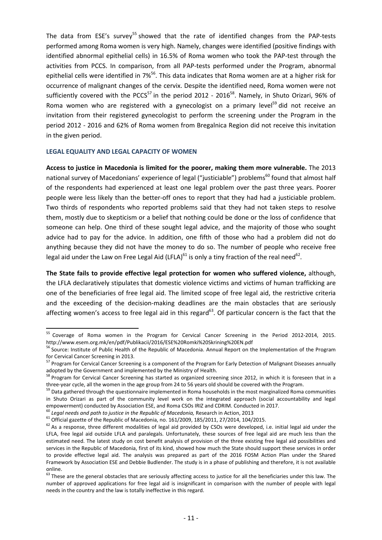The data from ESE's survey<sup>55</sup> showed that the rate of identified changes from the PAP-tests performed among Roma women is very high. Namely, changes were identified (positive findings with identified abnormal epithelial cells) in 16.5% of Roma women who took the PAP-test through the activities from PCCS. In comparison, from all PAP-tests performed under the Program, abnormal epithelial cells were identified in 7%<sup>56</sup>. This data indicates that Roma women are at a higher risk for occurrence of malignant changes of the cervix. Despite the identified need, Roma women were not sufficiently covered with the PCCS<sup>57</sup> in the period 2012 - 2016<sup>58</sup>. Namely, in Shuto Orizari, 96% of Roma women who are registered with a gynecologist on a primary level<sup>59</sup> did not receive an invitation from their registered gynecologist to perform the screening under the Program in the period 2012 - 2016 and 62% of Roma women from Bregalnica Region did not receive this invitation in the given period.

## **LEGAL EQUALITY AND LEGAL CAPACITY OF WOMEN**

**Access to justice in Macedonia is limited for the poorer, making them more vulnerable.** The 2013 national survey of Macedonians' experience of legal ("justiciable") problems<sup>60</sup> found that almost half of the respondents had experienced at least one legal problem over the past three years. Poorer people were less likely than the better-off ones to report that they had had a justiciable problem. Two thirds of respondents who reported problems said that they had not taken steps to resolve them, mostly due to skepticism or a belief that nothing could be done or the loss of confidence that someone can help. One third of these sought legal advice, and the majority of those who sought advice had to pay for the advice. In addition, one fifth of those who had a problem did not do anything because they did not have the money to do so. The number of people who receive free legal aid under the Law on Free Legal Aid (LFLA)<sup>61</sup> is only a tiny fraction of the real need<sup>62</sup>.

**The State fails to provide effective legal protection for women who suffered violence,** although, the LFLA declaratively stipulates that domestic violence victims and victims of human trafficking are one of the beneficiaries of free legal aid. The limited scope of free legal aid, the restrictive criteria and the exceeding of the decision-making deadlines are the main obstacles that are seriously affecting women's access to free legal aid in this regard<sup>63</sup>. Of particular concern is the fact that the

<sup>&</sup>lt;sup>55</sup> Coverage of Roma women in the Program for Cervical Cancer Screening in the Period 2012-2014, 2015.<br>http://www.esem.org.mk/en/pdf/Publikacii/2016/ESE%20Romki%20Skrining%20EN.pdf

http://www.esem.org.mk/en/pdf/Publicacii/2016/ESE Source: Institute of Public of Macedonia. Annual Report on the Implementation of the Program for Cervical Cancer Screening in 2013.<br><sup>57</sup> Program for Cervical Cancer Screening is a component of the Program for Early Detection of Malignant Diseases annually

adopted by the Government and implemented by the Ministry of Health.

<sup>&</sup>lt;sup>58</sup> Program for Cervical Cancer Screening has started as organized screening since 2012, in which it is foreseen that in a

three-year cycle, all the women in the age group from 24 to 56 years old should be covered with the Program.<br><sup>59</sup> Data gathered through the questionnaire implemented in Roma households in the most marginalized Roma commun in Shuto Orizari as part of the community level work on the integrated approach (social accountability and legal<br>empowerment) conducted by Association ESE, and Roma CSOs IRIZ and CDRIM. Conducted in 2017.

<sup>&</sup>lt;sup>60</sup> Legal needs and path to justice in the Republic of Macedonia, Research in Action, 2013<br><sup>61</sup> Official gazette of the Republic of Macedonia, no. 161/2009, 185/2011, 27/2014, 104/2015.<br><sup>62</sup> As a response, three differen LFLA, free legal aid outside LFLA and paralegals. Unfortunately, these sources of free legal aid are much less than the estimated need. The latest study on cost benefit analysis of provision of the three existing free legal aid possibilities and services in the Republic of Macedonia, first of its kind, showed how much the State should support these services in order to provide effective legal aid. The analysis was prepared as part of the 2016 FOSM Action Plan under the Shared Framework by Association ESE and Debbie Budlender. The study is in a phase of publishing and therefore, it is not available online.

 $63$  These are the general obstacles that are seriously affecting access to justice for all the beneficiaries under this law. The number of approved applications for free legal aid is insignificant in comparison with the number of people with legal needs in the country and the law is totally ineffective in this regard.